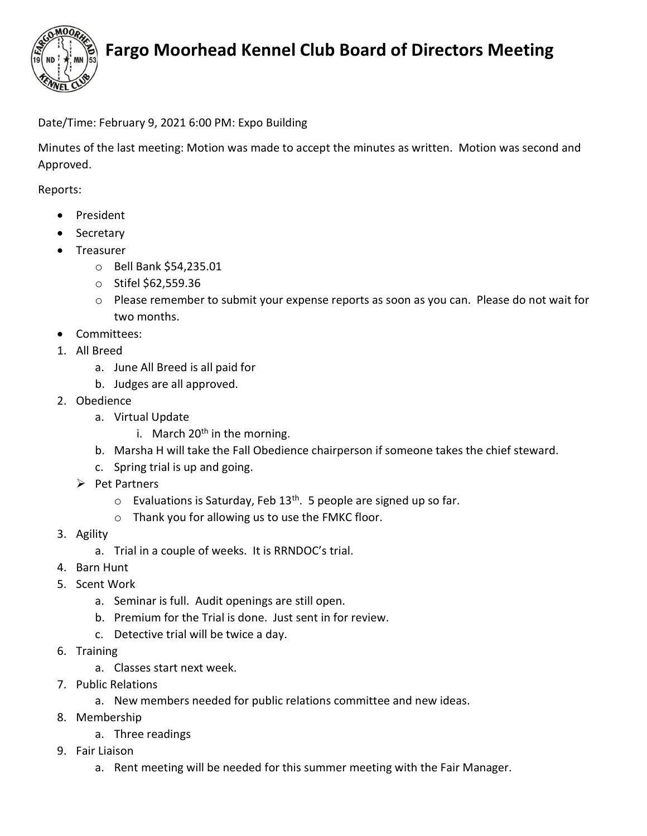

## Fargo Moorhead Kennel Club Board of Directors Meeting

### Date/Time: February 9, 2021 6:00 PM: Expo Building

Minutes of the last meeting: Motion was made to accept the minutes as written. Motion was second and Approved.

Reports:

- President
- Secretary
- Treasurer
	- o Bell Bank \$54,235.01
	- o Stifel \$62,559.36
	- $\circ$  Please remember to submit your expense reports as soon as you can. Please do not wait for two months.
- Committees:
- 1. All Breed
	- a. June All Breed is all paid for
	- b. Judges are all approved.
- 2. Obedience
	- a. Virtual Update
		- i. March  $20<sup>th</sup>$  in the morning.
	- b. Marsha H will take the Fall Obedience chairperson if someone takes the chief steward.
	- c. Spring trial is up and going.
	- $\triangleright$  Pet Partners
		- $\circ$  Evaluations is Saturday, Feb 13<sup>th</sup>. 5 people are signed up so far.
		- o Thank you for allowing us to use the FMKC floor.
- 3. Agility
	- a. Trial in a couple of weeks. It is RRNDOC's trial.
- 4. Barn Hunt
- 5. Scent Work
	- a. Seminar is full. Audit openings are still open.
	- b. Premium for the Trial is done. Just sent in for review.
	- c. Detective trial will be twice a day.
- 6. Training
	- a. Classes start next week.
- 7. Public Relations
	- a. New members needed for public relations committee and new ideas.
- 8. Membership
	- a. Three readings
- 9. Fair Liaison
	- a. Rent meeting will be needed for this summer meeting with the Fair Manager.